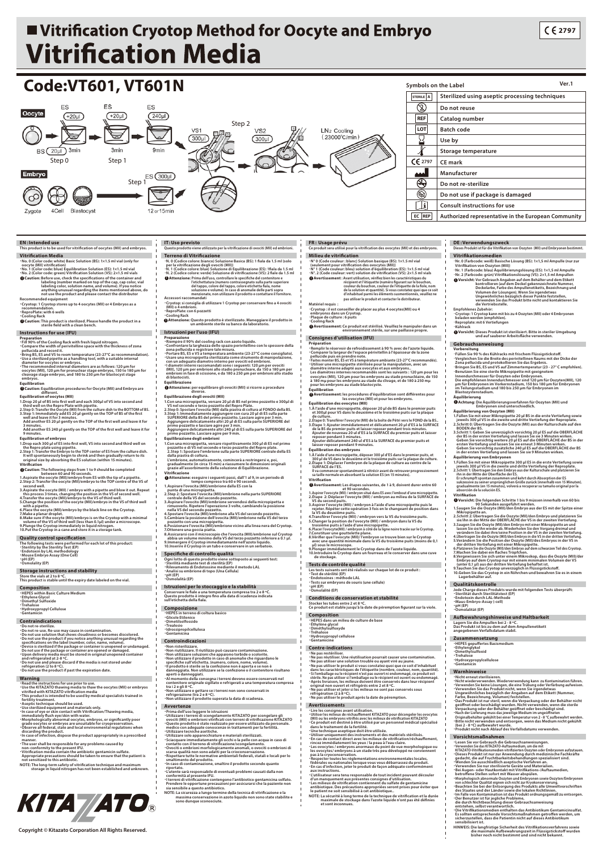## ■ Vitrification Cryotop Method for Oocyte and Embryo **Vitrification Media**



**NOTE: La sécurité à long terme de la technique de vitrication et la durée maximale de stockage dans l'azote liquide n'ont pas été dénies et sont inconnues.**

**HINWEIS: Die langfristige Sicherheit des Vitrikationsverfahrens sowie die maximale Aufbewahrungszeit in Flüssigsticksto wurden bisher noch nicht bestimmt und sind nicht bekannt.**

*Kita //ATO*.